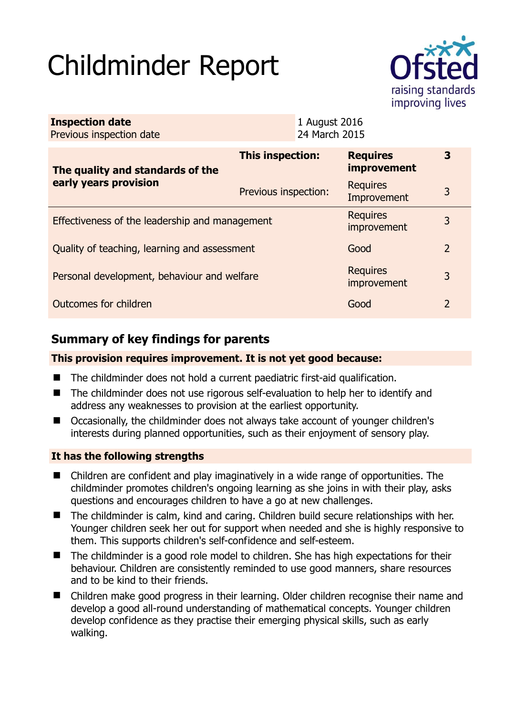# Childminder Report



| <b>Inspection date</b><br>Previous inspection date        |                         | 1 August 2016<br>24 March 2015 |                                |                |
|-----------------------------------------------------------|-------------------------|--------------------------------|--------------------------------|----------------|
| The quality and standards of the<br>early years provision | <b>This inspection:</b> |                                | <b>Requires</b><br>improvement | 3              |
|                                                           | Previous inspection:    |                                | <b>Requires</b><br>Improvement | 3              |
| Effectiveness of the leadership and management            |                         |                                | <b>Requires</b><br>improvement | 3              |
| Quality of teaching, learning and assessment              |                         |                                | Good                           | $\overline{2}$ |
| Personal development, behaviour and welfare               |                         |                                | <b>Requires</b><br>improvement | 3              |
| Outcomes for children                                     |                         |                                | Good                           | 2              |

# **Summary of key findings for parents**

## **This provision requires improvement. It is not yet good because:**

- The childminder does not hold a current paediatric first-aid qualification.
- The childminder does not use rigorous self-evaluation to help her to identify and address any weaknesses to provision at the earliest opportunity.
- Occasionally, the childminder does not always take account of younger children's interests during planned opportunities, such as their enjoyment of sensory play.

## **It has the following strengths**

- Children are confident and play imaginatively in a wide range of opportunities. The childminder promotes children's ongoing learning as she joins in with their play, asks questions and encourages children to have a go at new challenges.
- The childminder is calm, kind and caring. Children build secure relationships with her. Younger children seek her out for support when needed and she is highly responsive to them. This supports children's self-confidence and self-esteem.
- The childminder is a good role model to children. She has high expectations for their behaviour. Children are consistently reminded to use good manners, share resources and to be kind to their friends.
- Children make good progress in their learning. Older children recognise their name and develop a good all-round understanding of mathematical concepts. Younger children develop confidence as they practise their emerging physical skills, such as early walking.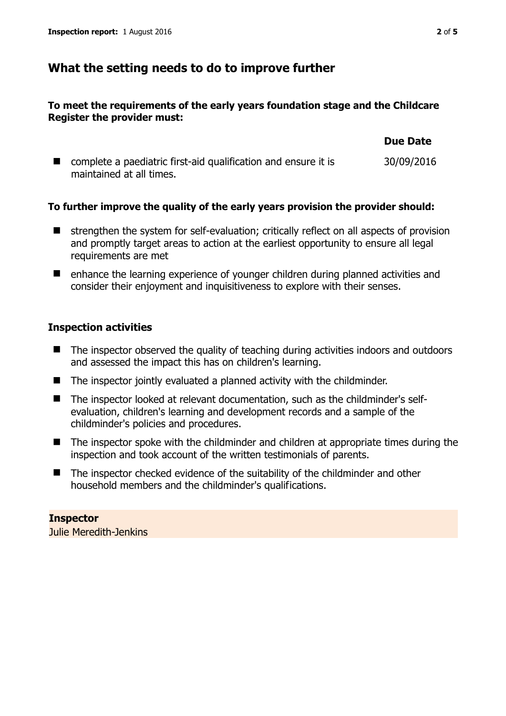# **What the setting needs to do to improve further**

#### **To meet the requirements of the early years foundation stage and the Childcare Register the provider must:**

|                                                                | <b>Due Date</b> |
|----------------------------------------------------------------|-----------------|
| complete a paediatric first-aid qualification and ensure it is | 30/09/2016      |
| maintained at all times.                                       |                 |

## **To further improve the quality of the early years provision the provider should:**

- strengthen the system for self-evaluation; critically reflect on all aspects of provision and promptly target areas to action at the earliest opportunity to ensure all legal requirements are met
- enhance the learning experience of younger children during planned activities and consider their enjoyment and inquisitiveness to explore with their senses.

## **Inspection activities**

- The inspector observed the quality of teaching during activities indoors and outdoors and assessed the impact this has on children's learning.
- The inspector jointly evaluated a planned activity with the childminder.
- The inspector looked at relevant documentation, such as the childminder's selfevaluation, children's learning and development records and a sample of the childminder's policies and procedures.
- The inspector spoke with the childminder and children at appropriate times during the inspection and took account of the written testimonials of parents.
- The inspector checked evidence of the suitability of the childminder and other household members and the childminder's qualifications.

#### **Inspector**  Julie Meredith-Jenkins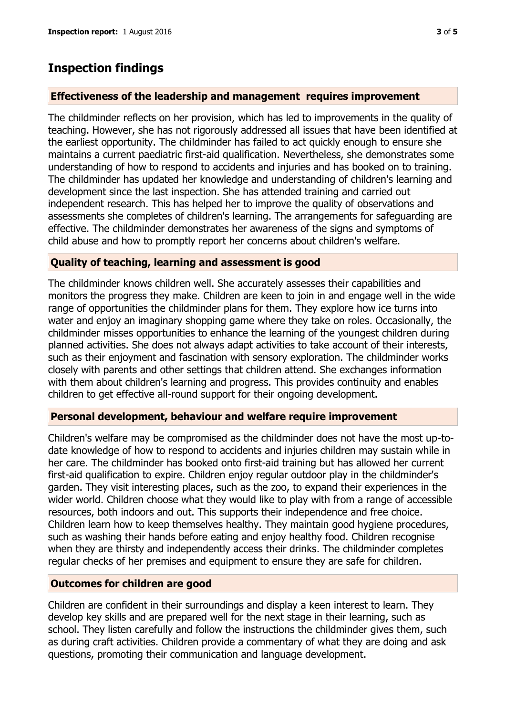# **Inspection findings**

#### **Effectiveness of the leadership and management requires improvement**

The childminder reflects on her provision, which has led to improvements in the quality of teaching. However, she has not rigorously addressed all issues that have been identified at the earliest opportunity. The childminder has failed to act quickly enough to ensure she maintains a current paediatric first-aid qualification. Nevertheless, she demonstrates some understanding of how to respond to accidents and injuries and has booked on to training. The childminder has updated her knowledge and understanding of children's learning and development since the last inspection. She has attended training and carried out independent research. This has helped her to improve the quality of observations and assessments she completes of children's learning. The arrangements for safeguarding are effective. The childminder demonstrates her awareness of the signs and symptoms of child abuse and how to promptly report her concerns about children's welfare.

#### **Quality of teaching, learning and assessment is good**

The childminder knows children well. She accurately assesses their capabilities and monitors the progress they make. Children are keen to join in and engage well in the wide range of opportunities the childminder plans for them. They explore how ice turns into water and enjoy an imaginary shopping game where they take on roles. Occasionally, the childminder misses opportunities to enhance the learning of the youngest children during planned activities. She does not always adapt activities to take account of their interests, such as their enjoyment and fascination with sensory exploration. The childminder works closely with parents and other settings that children attend. She exchanges information with them about children's learning and progress. This provides continuity and enables children to get effective all-round support for their ongoing development.

#### **Personal development, behaviour and welfare require improvement**

Children's welfare may be compromised as the childminder does not have the most up-todate knowledge of how to respond to accidents and injuries children may sustain while in her care. The childminder has booked onto first-aid training but has allowed her current first-aid qualification to expire. Children enjoy regular outdoor play in the childminder's garden. They visit interesting places, such as the zoo, to expand their experiences in the wider world. Children choose what they would like to play with from a range of accessible resources, both indoors and out. This supports their independence and free choice. Children learn how to keep themselves healthy. They maintain good hygiene procedures, such as washing their hands before eating and enjoy healthy food. Children recognise when they are thirsty and independently access their drinks. The childminder completes regular checks of her premises and equipment to ensure they are safe for children.

## **Outcomes for children are good**

Children are confident in their surroundings and display a keen interest to learn. They develop key skills and are prepared well for the next stage in their learning, such as school. They listen carefully and follow the instructions the childminder gives them, such as during craft activities. Children provide a commentary of what they are doing and ask questions, promoting their communication and language development.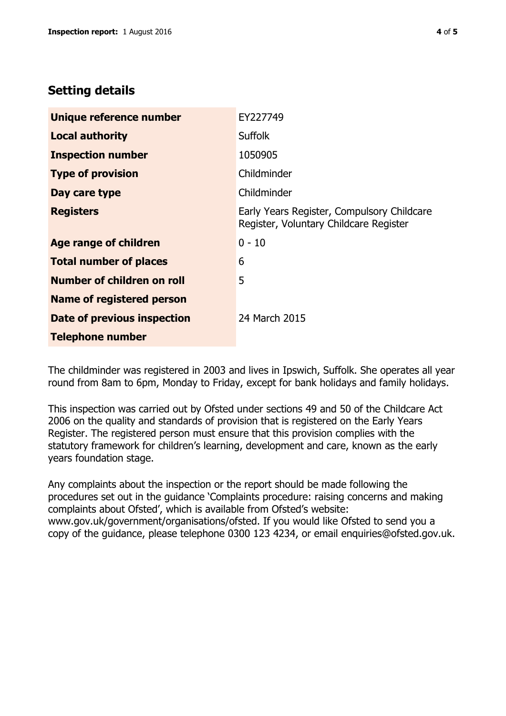# **Setting details**

| Unique reference number          | EY227749                                                                             |
|----------------------------------|--------------------------------------------------------------------------------------|
| <b>Local authority</b>           | <b>Suffolk</b>                                                                       |
| <b>Inspection number</b>         | 1050905                                                                              |
| <b>Type of provision</b>         | Childminder                                                                          |
| Day care type                    | Childminder                                                                          |
| <b>Registers</b>                 | Early Years Register, Compulsory Childcare<br>Register, Voluntary Childcare Register |
| Age range of children            | $0 - 10$                                                                             |
| <b>Total number of places</b>    | 6                                                                                    |
| Number of children on roll       | 5                                                                                    |
| <b>Name of registered person</b> |                                                                                      |
| Date of previous inspection      | 24 March 2015                                                                        |
| <b>Telephone number</b>          |                                                                                      |

The childminder was registered in 2003 and lives in Ipswich, Suffolk. She operates all year round from 8am to 6pm, Monday to Friday, except for bank holidays and family holidays.

This inspection was carried out by Ofsted under sections 49 and 50 of the Childcare Act 2006 on the quality and standards of provision that is registered on the Early Years Register. The registered person must ensure that this provision complies with the statutory framework for children's learning, development and care, known as the early years foundation stage.

Any complaints about the inspection or the report should be made following the procedures set out in the guidance 'Complaints procedure: raising concerns and making complaints about Ofsted', which is available from Ofsted's website: www.gov.uk/government/organisations/ofsted. If you would like Ofsted to send you a copy of the guidance, please telephone 0300 123 4234, or email enquiries@ofsted.gov.uk.